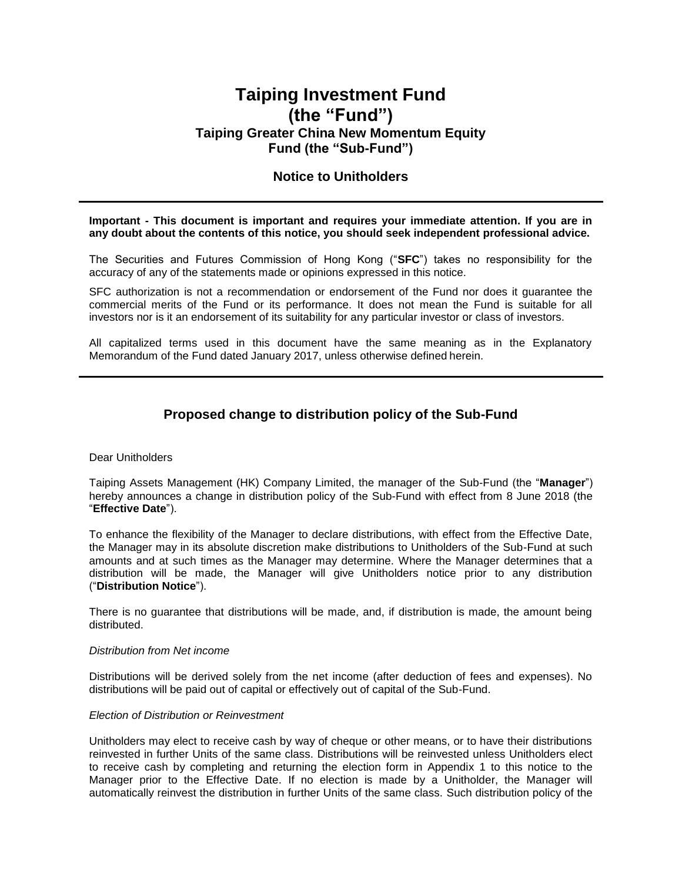# **Taiping Investment Fund (the "Fund") Taiping Greater China New Momentum Equity Fund (the "Sub-Fund")**

# **Notice to Unitholders**

#### **Important - This document is important and requires your immediate attention. If you are in any doubt about the contents of this notice, you should seek independent professional advice.**

The Securities and Futures Commission of Hong Kong ("**SFC**") takes no responsibility for the accuracy of any of the statements made or opinions expressed in this notice.

SFC authorization is not a recommendation or endorsement of the Fund nor does it guarantee the commercial merits of the Fund or its performance. It does not mean the Fund is suitable for all investors nor is it an endorsement of its suitability for any particular investor or class of investors.

All capitalized terms used in this document have the same meaning as in the Explanatory Memorandum of the Fund dated January 2017, unless otherwise defined herein.

# **Proposed change to distribution policy of the Sub-Fund**

#### Dear Unitholders

Taiping Assets Management (HK) Company Limited, the manager of the Sub-Fund (the "**Manager**") hereby announces a change in distribution policy of the Sub-Fund with effect from 8 June 2018 (the "**Effective Date**").

To enhance the flexibility of the Manager to declare distributions, with effect from the Effective Date, the Manager may in its absolute discretion make distributions to Unitholders of the Sub-Fund at such amounts and at such times as the Manager may determine. Where the Manager determines that a distribution will be made, the Manager will give Unitholders notice prior to any distribution ("**Distribution Notice**").

There is no guarantee that distributions will be made, and, if distribution is made, the amount being distributed.

#### *Distribution from Net income*

Distributions will be derived solely from the net income (after deduction of fees and expenses). No distributions will be paid out of capital or effectively out of capital of the Sub-Fund.

#### *Election of Distribution or Reinvestment*

Unitholders may elect to receive cash by way of cheque or other means, or to have their distributions reinvested in further Units of the same class. Distributions will be reinvested unless Unitholders elect to receive cash by completing and returning the election form in Appendix 1 to this notice to the Manager prior to the Effective Date. If no election is made by a Unitholder, the Manager will automatically reinvest the distribution in further Units of the same class. Such distribution policy of the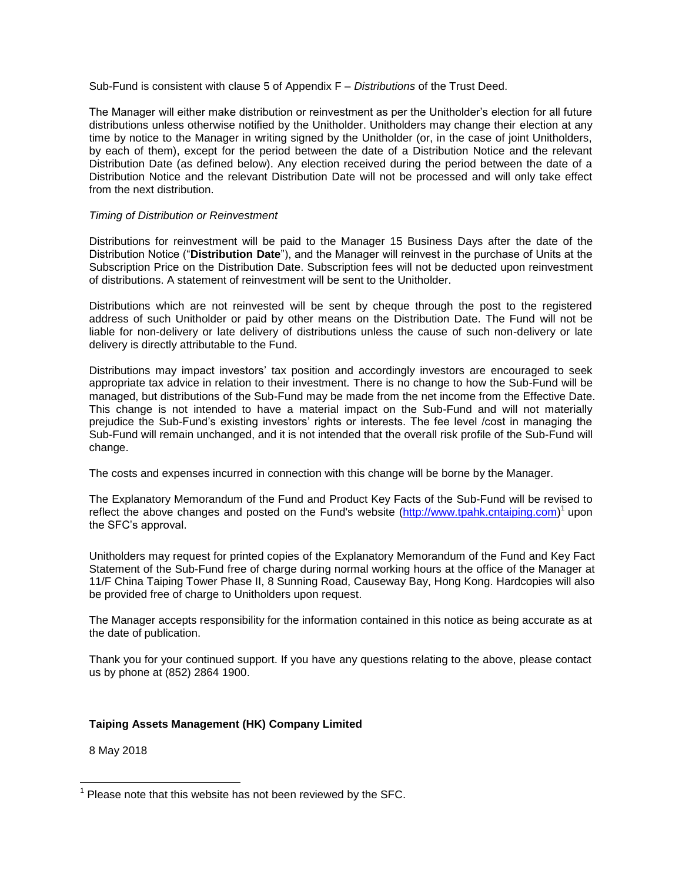Sub-Fund is consistent with clause 5 of Appendix F – *Distributions* of the Trust Deed.

The Manager will either make distribution or reinvestment as per the Unitholder's election for all future distributions unless otherwise notified by the Unitholder. Unitholders may change their election at any time by notice to the Manager in writing signed by the Unitholder (or, in the case of joint Unitholders, by each of them), except for the period between the date of a Distribution Notice and the relevant Distribution Date (as defined below). Any election received during the period between the date of a Distribution Notice and the relevant Distribution Date will not be processed and will only take effect from the next distribution.

### *Timing of Distribution or Reinvestment*

Distributions for reinvestment will be paid to the Manager 15 Business Days after the date of the Distribution Notice ("**Distribution Date**"), and the Manager will reinvest in the purchase of Units at the Subscription Price on the Distribution Date. Subscription fees will not be deducted upon reinvestment of distributions. A statement of reinvestment will be sent to the Unitholder.

Distributions which are not reinvested will be sent by cheque through the post to the registered address of such Unitholder or paid by other means on the Distribution Date. The Fund will not be liable for non-delivery or late delivery of distributions unless the cause of such non-delivery or late delivery is directly attributable to the Fund.

Distributions may impact investors' tax position and accordingly investors are encouraged to seek appropriate tax advice in relation to their investment. There is no change to how the Sub-Fund will be managed, but distributions of the Sub-Fund may be made from the net income from the Effective Date. This change is not intended to have a material impact on the Sub-Fund and will not materially prejudice the Sub-Fund's existing investors' rights or interests. The fee level /cost in managing the Sub-Fund will remain unchanged, and it is not intended that the overall risk profile of the Sub-Fund will change.

The costs and expenses incurred in connection with this change will be borne by the Manager.

The Explanatory Memorandum of the Fund and Product Key Facts of the Sub-Fund will be revised to reflect the above changes and posted on the Fund's website [\(http://www.tpahk.cntaiping.com\)](http://www.tpahk.cntaiping.com/)<sup>1</sup> upon the SFC's approval.

Unitholders may request for printed copies of the Explanatory Memorandum of the Fund and Key Fact Statement of the Sub-Fund free of charge during normal working hours at the office of the Manager at 11/F China Taiping Tower Phase II, 8 Sunning Road, Causeway Bay, Hong Kong. Hardcopies will also be provided free of charge to Unitholders upon request.

The Manager accepts responsibility for the information contained in this notice as being accurate as at the date of publication.

Thank you for your continued support. If you have any questions relating to the above, please contact us by phone at (852) 2864 1900.

## **Taiping Assets Management (HK) Company Limited**

8 May 2018

 1 Please note that this website has not been reviewed by the SFC.